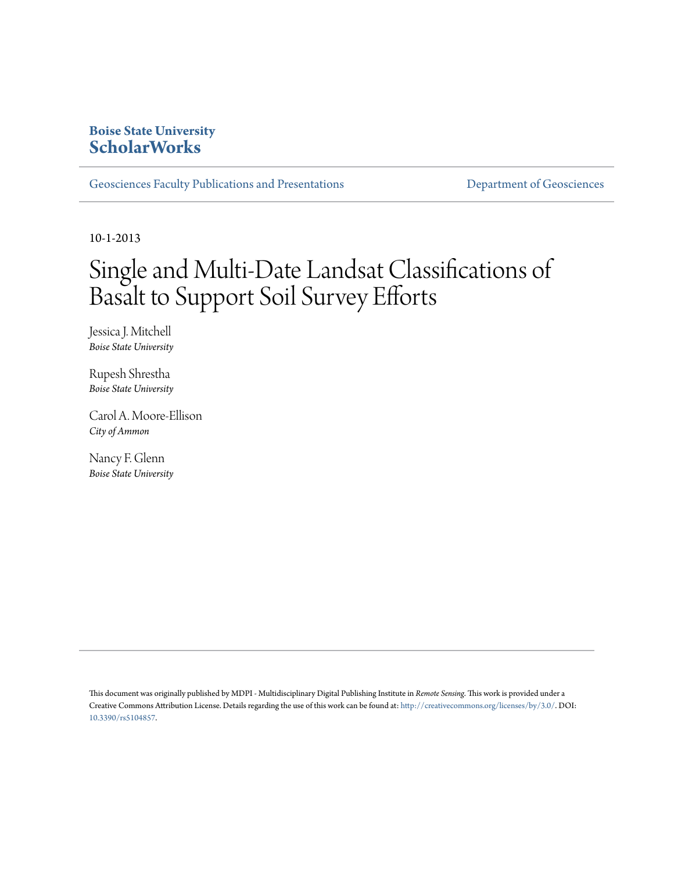### **Boise State University [ScholarWorks](https://scholarworks.boisestate.edu)**

[Geosciences Faculty Publications and Presentations](https://scholarworks.boisestate.edu/geo_facpubs) **Exercise Secure 2018** [Department of Geosciences](https://scholarworks.boisestate.edu/geosciences)

10-1-2013

# Single and Multi-Date Landsat Classifications of Basalt to Support Soil Survey Efforts

Jessica J. Mitchell *Boise State University*

Rupesh Shrestha *Boise State University*

Carol A. Moore-Ellison *City of Ammon*

Nancy F. Glenn *Boise State University*

This document was originally published by MDPI - Multidisciplinary Digital Publishing Institute in *Remote Sensing*. This work is provided under a Creative Commons Attribution License. Details regarding the use of this work can be found at: <http://creativecommons.org/licenses/by/3.0/>. DOI: [10.3390/rs5104857](http://dx.doi.org/10.3390/rs5104857).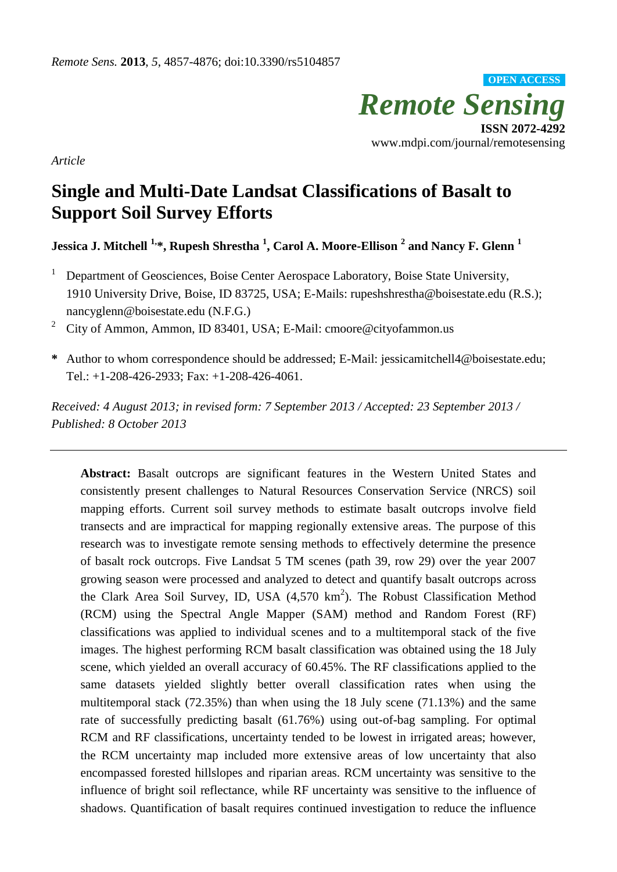

*Article*

## **Single and Multi-Date Landsat Classifications of Basalt to Support Soil Survey Efforts**

**Jessica J. Mitchell 1,\*, Rupesh Shrestha <sup>1</sup> , Carol A. Moore-Ellison <sup>2</sup> and Nancy F. Glenn <sup>1</sup>**

- <sup>1</sup> Department of Geosciences, Boise Center Aerospace Laboratory, Boise State University, 1910 University Drive, Boise, ID 83725, USA; E-Mails: rupeshshrestha@boisestate.edu (R.S.); [nancyglenn@boisestate.edu](mailto:nancyglenn@boisestate.edu) (N.F.G.)
- <sup>2</sup> City of Ammon, Ammon, ID 83401, USA; E-Mail: cmoore@cityofammon.us
- **\*** Author to whom correspondence should be addressed; E-Mail: [jessicamitchell4@boisestate.edu;](mailto:jessicamitchell4@boisestate.edu) Tel.: +1-208-426-2933; Fax: +1-208-426-4061.

*Received: 4 August 2013; in revised form: 7 September 2013 / Accepted: 23 September 2013 / Published: 8 October 2013*

**Abstract:** Basalt outcrops are significant features in the Western United States and consistently present challenges to Natural Resources Conservation Service (NRCS) soil mapping efforts. Current soil survey methods to estimate basalt outcrops involve field transects and are impractical for mapping regionally extensive areas. The purpose of this research was to investigate remote sensing methods to effectively determine the presence of basalt rock outcrops. Five Landsat 5 TM scenes (path 39, row 29) over the year 2007 growing season were processed and analyzed to detect and quantify basalt outcrops across the Clark Area Soil Survey, ID, USA  $(4,570 \text{ km}^2)$ . The Robust Classification Method (RCM) using the Spectral Angle Mapper (SAM) method and Random Forest (RF) classifications was applied to individual scenes and to a multitemporal stack of the five images. The highest performing RCM basalt classification was obtained using the 18 July scene, which yielded an overall accuracy of 60.45%. The RF classifications applied to the same datasets yielded slightly better overall classification rates when using the multitemporal stack (72.35%) than when using the 18 July scene (71.13%) and the same rate of successfully predicting basalt (61.76%) using out-of-bag sampling. For optimal RCM and RF classifications, uncertainty tended to be lowest in irrigated areas; however, the RCM uncertainty map included more extensive areas of low uncertainty that also encompassed forested hillslopes and riparian areas. RCM uncertainty was sensitive to the influence of bright soil reflectance, while RF uncertainty was sensitive to the influence of shadows. Quantification of basalt requires continued investigation to reduce the influence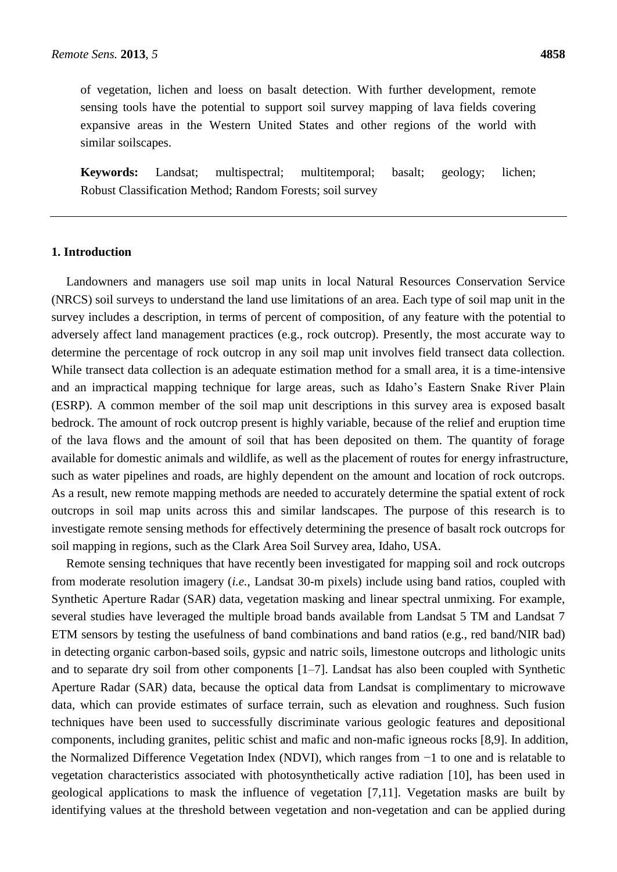of vegetation, lichen and loess on basalt detection. With further development, remote sensing tools have the potential to support soil survey mapping of lava fields covering expansive areas in the Western United States and other regions of the world with similar soilscapes.

**Keywords:** Landsat; multispectral; multitemporal; basalt; geology; lichen; Robust Classification Method; Random Forests; soil survey

#### **1. Introduction**

Landowners and managers use soil map units in local Natural Resources Conservation Service (NRCS) soil surveys to understand the land use limitations of an area. Each type of soil map unit in the survey includes a description, in terms of percent of composition, of any feature with the potential to adversely affect land management practices (e.g., rock outcrop). Presently, the most accurate way to determine the percentage of rock outcrop in any soil map unit involves field transect data collection. While transect data collection is an adequate estimation method for a small area, it is a time-intensive and an impractical mapping technique for large areas, such as Idaho's Eastern Snake River Plain (ESRP). A common member of the soil map unit descriptions in this survey area is exposed basalt bedrock. The amount of rock outcrop present is highly variable, because of the relief and eruption time of the lava flows and the amount of soil that has been deposited on them. The quantity of forage available for domestic animals and wildlife, as well as the placement of routes for energy infrastructure, such as water pipelines and roads, are highly dependent on the amount and location of rock outcrops. As a result, new remote mapping methods are needed to accurately determine the spatial extent of rock outcrops in soil map units across this and similar landscapes. The purpose of this research is to investigate remote sensing methods for effectively determining the presence of basalt rock outcrops for soil mapping in regions, such as the Clark Area Soil Survey area, Idaho, USA.

Remote sensing techniques that have recently been investigated for mapping soil and rock outcrops from moderate resolution imagery (*i.e.*, Landsat 30-m pixels) include using band ratios, coupled with Synthetic Aperture Radar (SAR) data, vegetation masking and linear spectral unmixing. For example, several studies have leveraged the multiple broad bands available from Landsat 5 TM and Landsat 7 ETM sensors by testing the usefulness of band combinations and band ratios (e.g., red band/NIR bad) in detecting organic carbon-based soils, gypsic and natric soils, limestone outcrops and lithologic units and to separate dry soil from other components [1–7]. Landsat has also been coupled with Synthetic Aperture Radar (SAR) data, because the optical data from Landsat is complimentary to microwave data, which can provide estimates of surface terrain, such as elevation and roughness. Such fusion techniques have been used to successfully discriminate various geologic features and depositional components, including granites, pelitic schist and mafic and non-mafic igneous rocks [8,9]. In addition, the Normalized Difference Vegetation Index (NDVI), which ranges from −1 to one and is relatable to vegetation characteristics associated with photosynthetically active radiation [10], has been used in geological applications to mask the influence of vegetation [7,11]. Vegetation masks are built by identifying values at the threshold between vegetation and non-vegetation and can be applied during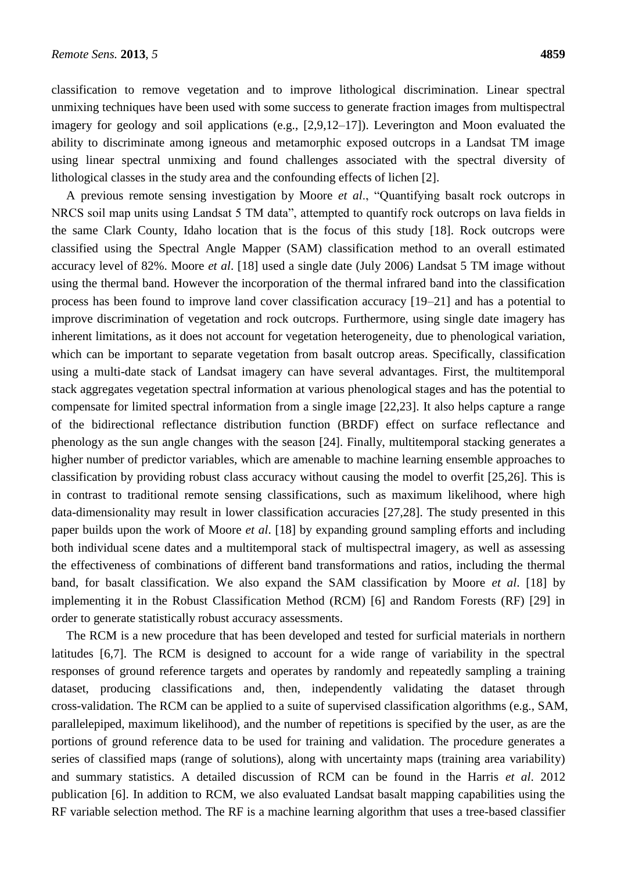classification to remove vegetation and to improve lithological discrimination. Linear spectral unmixing techniques have been used with some success to generate fraction images from multispectral imagery for geology and soil applications (e.g., [2,9,12–17]). Leverington and Moon evaluated the ability to discriminate among igneous and metamorphic exposed outcrops in a Landsat TM image using linear spectral unmixing and found challenges associated with the spectral diversity of lithological classes in the study area and the confounding effects of lichen [2].

A previous remote sensing investigation by Moore *et al.*, "Quantifying basalt rock outcrops in NRCS soil map units using Landsat 5 TM data", attempted to quantify rock outcrops on lava fields in the same Clark County, Idaho location that is the focus of this study [18]. Rock outcrops were classified using the Spectral Angle Mapper (SAM) classification method to an overall estimated accuracy level of 82%. Moore *et al*. [18] used a single date (July 2006) Landsat 5 TM image without using the thermal band. However the incorporation of the thermal infrared band into the classification process has been found to improve land cover classification accuracy [19–21] and has a potential to improve discrimination of vegetation and rock outcrops. Furthermore, using single date imagery has inherent limitations, as it does not account for vegetation heterogeneity, due to phenological variation, which can be important to separate vegetation from basalt outcrop areas. Specifically, classification using a multi-date stack of Landsat imagery can have several advantages. First, the multitemporal stack aggregates vegetation spectral information at various phenological stages and has the potential to compensate for limited spectral information from a single image [22,23]. It also helps capture a range of the bidirectional reflectance distribution function (BRDF) effect on surface reflectance and phenology as the sun angle changes with the season [24]. Finally, multitemporal stacking generates a higher number of predictor variables, which are amenable to machine learning ensemble approaches to classification by providing robust class accuracy without causing the model to overfit [25,26]. This is in contrast to traditional remote sensing classifications, such as maximum likelihood, where high data-dimensionality may result in lower classification accuracies [27,28]. The study presented in this paper builds upon the work of Moore *et al*. [18] by expanding ground sampling efforts and including both individual scene dates and a multitemporal stack of multispectral imagery, as well as assessing the effectiveness of combinations of different band transformations and ratios, including the thermal band, for basalt classification. We also expand the SAM classification by Moore *et al*. [18] by implementing it in the Robust Classification Method (RCM) [6] and Random Forests (RF) [29] in order to generate statistically robust accuracy assessments.

The RCM is a new procedure that has been developed and tested for surficial materials in northern latitudes [6,7]. The RCM is designed to account for a wide range of variability in the spectral responses of ground reference targets and operates by randomly and repeatedly sampling a training dataset, producing classifications and, then, independently validating the dataset through cross-validation. The RCM can be applied to a suite of supervised classification algorithms (e.g., SAM, parallelepiped, maximum likelihood), and the number of repetitions is specified by the user, as are the portions of ground reference data to be used for training and validation. The procedure generates a series of classified maps (range of solutions), along with uncertainty maps (training area variability) and summary statistics. A detailed discussion of RCM can be found in the Harris *et al*. 2012 publication [6]. In addition to RCM, we also evaluated Landsat basalt mapping capabilities using the RF variable selection method. The RF is a machine learning algorithm that uses a tree-based classifier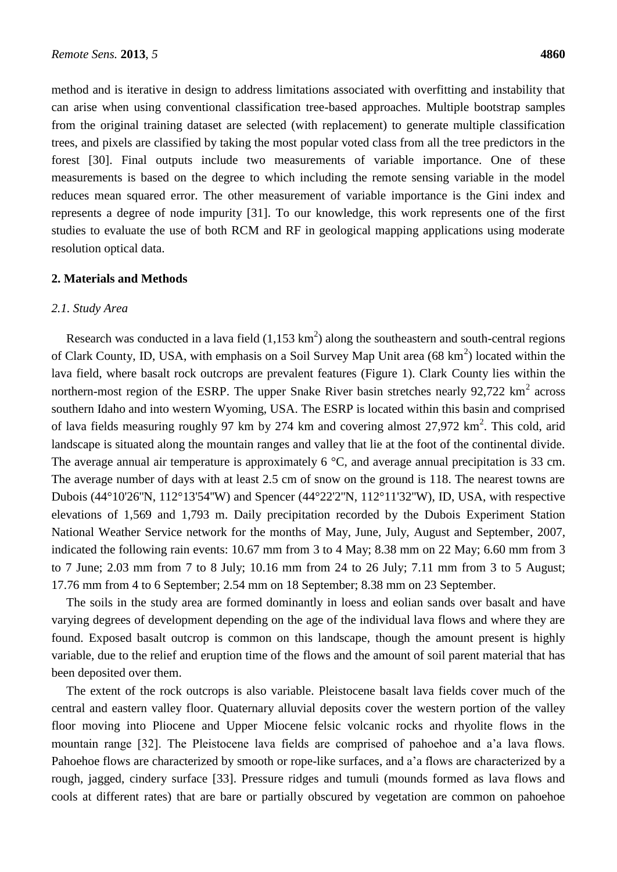method and is iterative in design to address limitations associated with overfitting and instability that can arise when using conventional classification tree-based approaches. Multiple bootstrap samples from the original training dataset are selected (with replacement) to generate multiple classification trees, and pixels are classified by taking the most popular voted class from all the tree predictors in the forest [30]. Final outputs include two measurements of variable importance. One of these measurements is based on the degree to which including the remote sensing variable in the model reduces mean squared error. The other measurement of variable importance is the Gini index and represents a degree of node impurity [31]. To our knowledge, this work represents one of the first studies to evaluate the use of both RCM and RF in geological mapping applications using moderate resolution optical data.

#### **2. Materials and Methods**

#### *2.1. Study Area*

Research was conducted in a lava field  $(1,153 \text{ km}^2)$  along the southeastern and south-central regions of Clark County, ID, USA, with emphasis on a Soil Survey Map Unit area  $(68 \text{ km}^2)$  located within the lava field, where basalt rock outcrops are prevalent features (Figure 1). Clark County lies within the northern-most region of the ESRP. The upper Snake River basin stretches nearly  $92,722$  km<sup>2</sup> across southern Idaho and into western Wyoming, USA. The ESRP is located within this basin and comprised of lava fields measuring roughly 97 km by 274 km and covering almost  $27,972 \text{ km}^2$ . This cold, arid landscape is situated along the mountain ranges and valley that lie at the foot of the continental divide. The average annual air temperature is approximately 6  $\mathcal{C}$ , and average annual precipitation is 33 cm. The average number of days with at least 2.5 cm of snow on the ground is 118. The nearest towns are Dubois (44°10'26''N, 112°13'54''W) and Spencer (44°22'2''N, 112°11'32''W), ID, USA, with respective elevations of 1,569 and 1,793 m. Daily precipitation recorded by the Dubois Experiment Station National Weather Service network for the months of May, June, July, August and September, 2007, indicated the following rain events: 10.67 mm from 3 to 4 May; 8.38 mm on 22 May; 6.60 mm from 3 to 7 June; 2.03 mm from 7 to 8 July; 10.16 mm from 24 to 26 July; 7.11 mm from 3 to 5 August; 17.76 mm from 4 to 6 September; 2.54 mm on 18 September; 8.38 mm on 23 September.

The soils in the study area are formed dominantly in loess and eolian sands over basalt and have varying degrees of development depending on the age of the individual lava flows and where they are found. Exposed basalt outcrop is common on this landscape, though the amount present is highly variable, due to the relief and eruption time of the flows and the amount of soil parent material that has been deposited over them.

The extent of the rock outcrops is also variable. Pleistocene basalt lava fields cover much of the central and eastern valley floor. Quaternary alluvial deposits cover the western portion of the valley floor moving into Pliocene and Upper Miocene felsic volcanic rocks and rhyolite flows in the mountain range [32]. The Pleistocene lava fields are comprised of pahoehoe and a'a lava flows. Pahoehoe flows are characterized by smooth or rope-like surfaces, and a'a flows are characterized by a rough, jagged, cindery surface [33]. Pressure ridges and tumuli (mounds formed as lava flows and cools at different rates) that are bare or partially obscured by vegetation are common on pahoehoe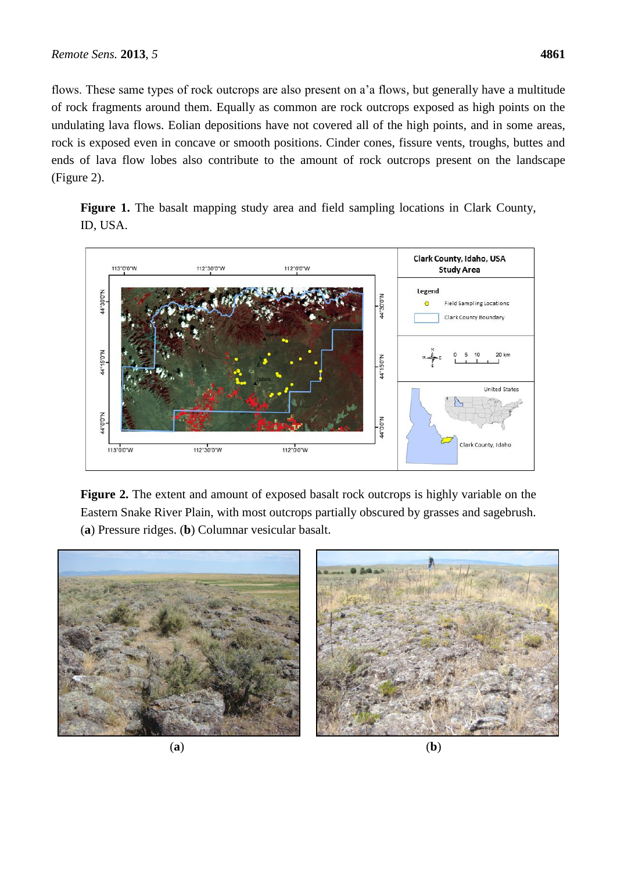flows. These same types of rock outcrops are also present on a'a flows, but generally have a multitude of rock fragments around them. Equally as common are rock outcrops exposed as high points on the undulating lava flows. Eolian depositions have not covered all of the high points, and in some areas, rock is exposed even in concave or smooth positions. Cinder cones, fissure vents, troughs, buttes and ends of lava flow lobes also contribute to the amount of rock outcrops present on the landscape (Figure 2).





**Figure 2.** The extent and amount of exposed basalt rock outcrops is highly variable on the Eastern Snake River Plain, with most outcrops partially obscured by grasses and sagebrush. (**a**) Pressure ridges. (**b**) Columnar vesicular basalt.

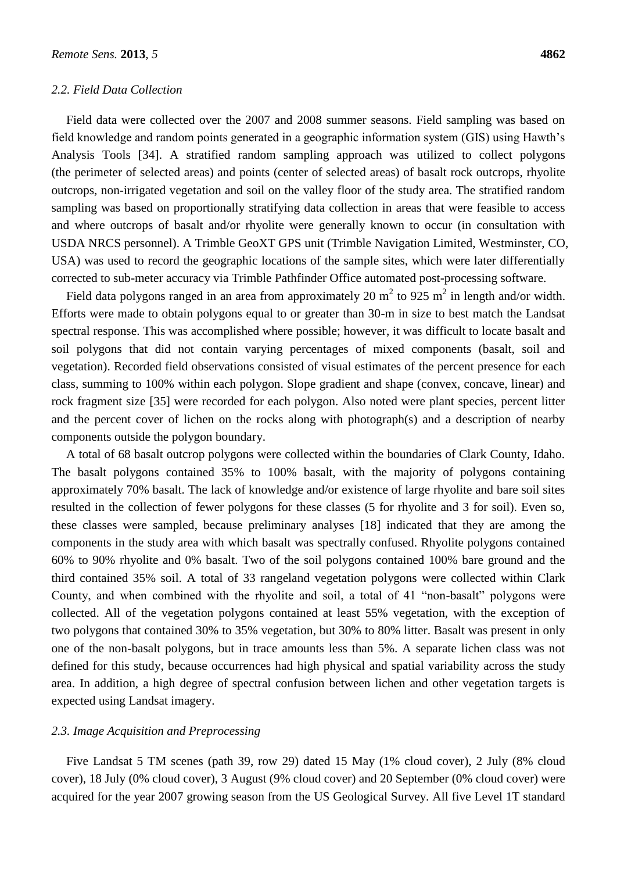#### *2.2. Field Data Collection*

Field data were collected over the 2007 and 2008 summer seasons. Field sampling was based on field knowledge and random points generated in a geographic information system (GIS) using Hawth's Analysis Tools [34]. A stratified random sampling approach was utilized to collect polygons (the perimeter of selected areas) and points (center of selected areas) of basalt rock outcrops, rhyolite outcrops, non-irrigated vegetation and soil on the valley floor of the study area. The stratified random sampling was based on proportionally stratifying data collection in areas that were feasible to access and where outcrops of basalt and/or rhyolite were generally known to occur (in consultation with USDA NRCS personnel). A Trimble GeoXT GPS unit (Trimble Navigation Limited, Westminster, CO, USA) was used to record the geographic locations of the sample sites, which were later differentially corrected to sub-meter accuracy via Trimble Pathfinder Office automated post-processing software.

Field data polygons ranged in an area from approximately 20  $m^2$  to 925  $m^2$  in length and/or width. Efforts were made to obtain polygons equal to or greater than 30-m in size to best match the Landsat spectral response. This was accomplished where possible; however, it was difficult to locate basalt and soil polygons that did not contain varying percentages of mixed components (basalt, soil and vegetation). Recorded field observations consisted of visual estimates of the percent presence for each class, summing to 100% within each polygon. Slope gradient and shape (convex, concave, linear) and rock fragment size [35] were recorded for each polygon. Also noted were plant species, percent litter and the percent cover of lichen on the rocks along with photograph(s) and a description of nearby components outside the polygon boundary.

A total of 68 basalt outcrop polygons were collected within the boundaries of Clark County, Idaho. The basalt polygons contained 35% to 100% basalt, with the majority of polygons containing approximately 70% basalt. The lack of knowledge and/or existence of large rhyolite and bare soil sites resulted in the collection of fewer polygons for these classes (5 for rhyolite and 3 for soil). Even so, these classes were sampled, because preliminary analyses [18] indicated that they are among the components in the study area with which basalt was spectrally confused. Rhyolite polygons contained 60% to 90% rhyolite and 0% basalt. Two of the soil polygons contained 100% bare ground and the third contained 35% soil. A total of 33 rangeland vegetation polygons were collected within Clark County, and when combined with the rhyolite and soil, a total of 41 "non-basalt" polygons were collected. All of the vegetation polygons contained at least 55% vegetation, with the exception of two polygons that contained 30% to 35% vegetation, but 30% to 80% litter. Basalt was present in only one of the non-basalt polygons, but in trace amounts less than 5%. A separate lichen class was not defined for this study, because occurrences had high physical and spatial variability across the study area. In addition, a high degree of spectral confusion between lichen and other vegetation targets is expected using Landsat imagery.

#### *2.3. Image Acquisition and Preprocessing*

Five Landsat 5 TM scenes (path 39, row 29) dated 15 May (1% cloud cover), 2 July (8% cloud cover), 18 July (0% cloud cover), 3 August (9% cloud cover) and 20 September (0% cloud cover) were acquired for the year 2007 growing season from the US Geological Survey. All five Level 1T standard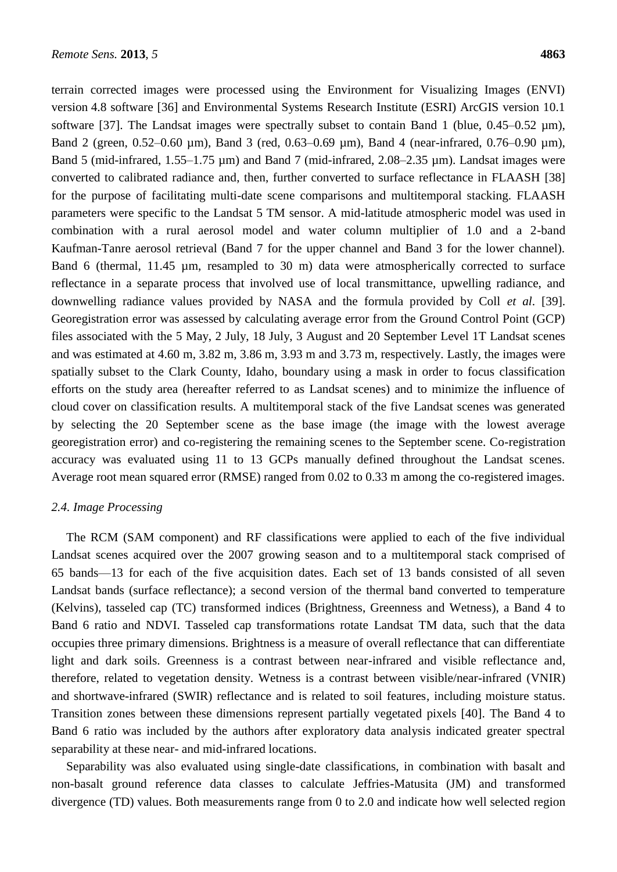terrain corrected images were processed using the Environment for Visualizing Images (ENVI) version 4.8 software [36] and Environmental Systems Research Institute (ESRI) ArcGIS version 10.1 software [37]. The Landsat images were spectrally subset to contain Band 1 (blue,  $0.45-0.52 \mu m$ ), Band 2 (green, 0.52–0.60 µm), Band 3 (red, 0.63–0.69 µm), Band 4 (near-infrared, 0.76–0.90 µm), Band 5 (mid-infrared,  $1.55-1.75$  µm) and Band 7 (mid-infrared,  $2.08-2.35$  µm). Landsat images were converted to calibrated radiance and, then, further converted to surface reflectance in FLAASH [38] for the purpose of facilitating multi-date scene comparisons and multitemporal stacking. FLAASH parameters were specific to the Landsat 5 TM sensor. A mid-latitude atmospheric model was used in combination with a rural aerosol model and water column multiplier of 1.0 and a 2-band Kaufman-Tanre aerosol retrieval (Band 7 for the upper channel and Band 3 for the lower channel). Band 6 (thermal, 11.45 µm, resampled to 30 m) data were atmospherically corrected to surface reflectance in a separate process that involved use of local transmittance, upwelling radiance, and downwelling radiance values provided by NASA and the formula provided by Coll *et al*. [39]. Georegistration error was assessed by calculating average error from the Ground Control Point (GCP) files associated with the 5 May, 2 July, 18 July, 3 August and 20 September Level 1T Landsat scenes and was estimated at 4.60 m, 3.82 m, 3.86 m, 3.93 m and 3.73 m, respectively. Lastly, the images were spatially subset to the Clark County, Idaho, boundary using a mask in order to focus classification efforts on the study area (hereafter referred to as Landsat scenes) and to minimize the influence of cloud cover on classification results. A multitemporal stack of the five Landsat scenes was generated by selecting the 20 September scene as the base image (the image with the lowest average georegistration error) and co-registering the remaining scenes to the September scene. Co-registration accuracy was evaluated using 11 to 13 GCPs manually defined throughout the Landsat scenes. Average root mean squared error (RMSE) ranged from 0.02 to 0.33 m among the co-registered images.

#### *2.4. Image Processing*

The RCM (SAM component) and RF classifications were applied to each of the five individual Landsat scenes acquired over the 2007 growing season and to a multitemporal stack comprised of 65 bands—13 for each of the five acquisition dates. Each set of 13 bands consisted of all seven Landsat bands (surface reflectance); a second version of the thermal band converted to temperature (Kelvins), tasseled cap (TC) transformed indices (Brightness, Greenness and Wetness), a Band 4 to Band 6 ratio and NDVI. Tasseled cap transformations rotate Landsat TM data, such that the data occupies three primary dimensions. Brightness is a measure of overall reflectance that can differentiate light and dark soils. Greenness is a contrast between near-infrared and visible reflectance and, therefore, related to vegetation density. Wetness is a contrast between visible/near-infrared (VNIR) and shortwave-infrared (SWIR) reflectance and is related to soil features, including moisture status. Transition zones between these dimensions represent partially vegetated pixels [40]. The Band 4 to Band 6 ratio was included by the authors after exploratory data analysis indicated greater spectral separability at these near- and mid-infrared locations.

Separability was also evaluated using single-date classifications, in combination with basalt and non-basalt ground reference data classes to calculate Jeffries-Matusita (JM) and transformed divergence (TD) values. Both measurements range from 0 to 2.0 and indicate how well selected region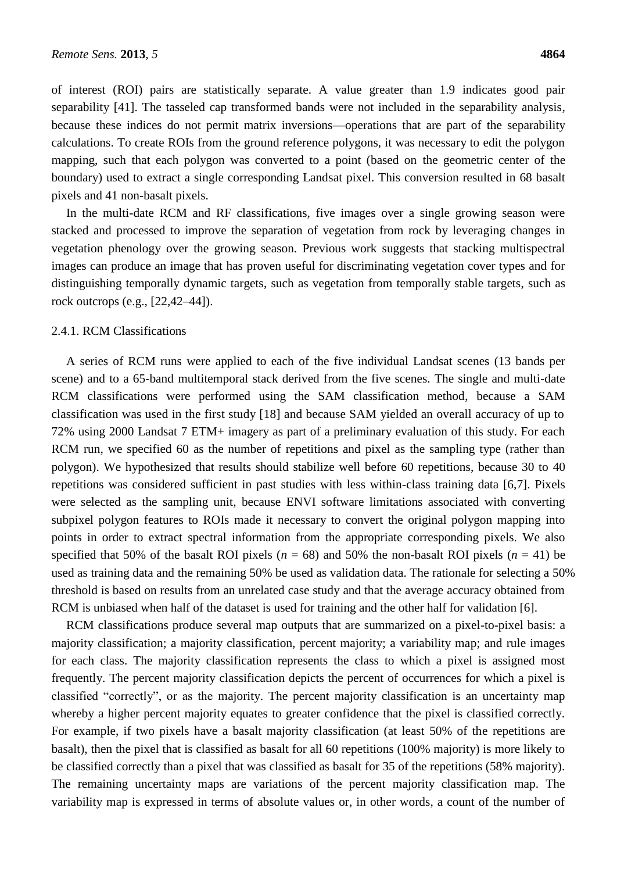of interest (ROI) pairs are statistically separate. A value greater than 1.9 indicates good pair separability [41]. The tasseled cap transformed bands were not included in the separability analysis, because these indices do not permit matrix inversions—operations that are part of the separability calculations. To create ROIs from the ground reference polygons, it was necessary to edit the polygon mapping, such that each polygon was converted to a point (based on the geometric center of the boundary) used to extract a single corresponding Landsat pixel. This conversion resulted in 68 basalt pixels and 41 non-basalt pixels.

In the multi-date RCM and RF classifications, five images over a single growing season were stacked and processed to improve the separation of vegetation from rock by leveraging changes in vegetation phenology over the growing season. Previous work suggests that stacking multispectral images can produce an image that has proven useful for discriminating vegetation cover types and for distinguishing temporally dynamic targets, such as vegetation from temporally stable targets, such as rock outcrops (e.g., [22,42–44]).

#### 2.4.1. RCM Classifications

A series of RCM runs were applied to each of the five individual Landsat scenes (13 bands per scene) and to a 65-band multitemporal stack derived from the five scenes. The single and multi-date RCM classifications were performed using the SAM classification method, because a SAM classification was used in the first study [18] and because SAM yielded an overall accuracy of up to 72% using 2000 Landsat 7 ETM+ imagery as part of a preliminary evaluation of this study. For each RCM run, we specified 60 as the number of repetitions and pixel as the sampling type (rather than polygon). We hypothesized that results should stabilize well before 60 repetitions, because 30 to 40 repetitions was considered sufficient in past studies with less within-class training data [6,7]. Pixels were selected as the sampling unit, because ENVI software limitations associated with converting subpixel polygon features to ROIs made it necessary to convert the original polygon mapping into points in order to extract spectral information from the appropriate corresponding pixels. We also specified that 50% of the basalt ROI pixels ( $n = 68$ ) and 50% the non-basalt ROI pixels ( $n = 41$ ) be used as training data and the remaining 50% be used as validation data. The rationale for selecting a 50% threshold is based on results from an unrelated case study and that the average accuracy obtained from RCM is unbiased when half of the dataset is used for training and the other half for validation [6].

RCM classifications produce several map outputs that are summarized on a pixel-to-pixel basis: a majority classification; a majority classification, percent majority; a variability map; and rule images for each class. The majority classification represents the class to which a pixel is assigned most frequently. The percent majority classification depicts the percent of occurrences for which a pixel is classified "correctly", or as the majority. The percent majority classification is an uncertainty map whereby a higher percent majority equates to greater confidence that the pixel is classified correctly. For example, if two pixels have a basalt majority classification (at least 50% of the repetitions are basalt), then the pixel that is classified as basalt for all 60 repetitions (100% majority) is more likely to be classified correctly than a pixel that was classified as basalt for 35 of the repetitions (58% majority). The remaining uncertainty maps are variations of the percent majority classification map. The variability map is expressed in terms of absolute values or, in other words, a count of the number of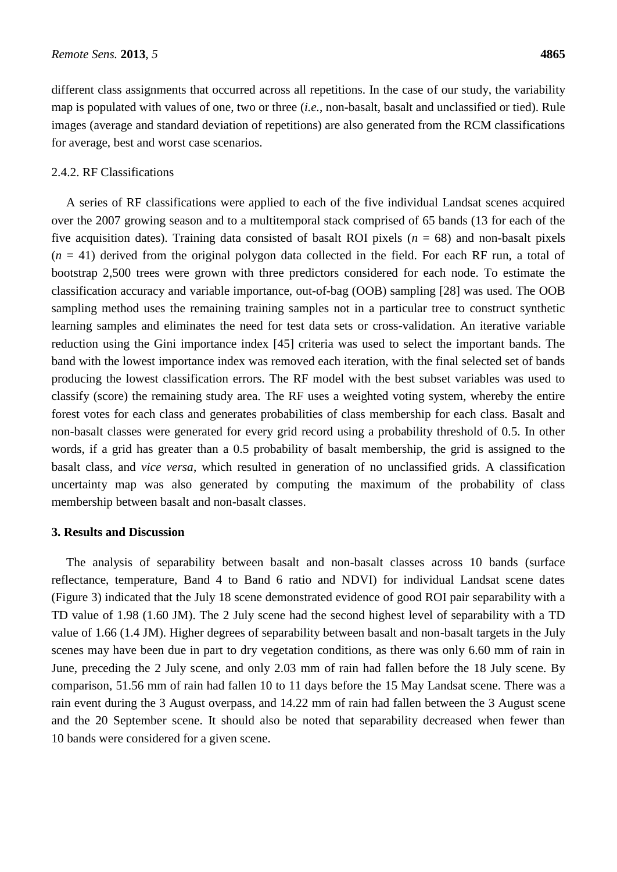different class assignments that occurred across all repetitions. In the case of our study, the variability map is populated with values of one, two or three (*i.e.*, non-basalt, basalt and unclassified or tied). Rule images (average and standard deviation of repetitions) are also generated from the RCM classifications for average, best and worst case scenarios.

#### 2.4.2. RF Classifications

A series of RF classifications were applied to each of the five individual Landsat scenes acquired over the 2007 growing season and to a multitemporal stack comprised of 65 bands (13 for each of the five acquisition dates). Training data consisted of basalt ROI pixels (*n* = 68) and non-basalt pixels  $(n = 41)$  derived from the original polygon data collected in the field. For each RF run, a total of bootstrap 2,500 trees were grown with three predictors considered for each node. To estimate the classification accuracy and variable importance, out-of-bag (OOB) sampling [28] was used. The OOB sampling method uses the remaining training samples not in a particular tree to construct synthetic learning samples and eliminates the need for test data sets or cross-validation. An iterative variable reduction using the Gini importance index [45] criteria was used to select the important bands. The band with the lowest importance index was removed each iteration, with the final selected set of bands producing the lowest classification errors. The RF model with the best subset variables was used to classify (score) the remaining study area. The RF uses a weighted voting system, whereby the entire forest votes for each class and generates probabilities of class membership for each class. Basalt and non-basalt classes were generated for every grid record using a probability threshold of 0.5. In other words, if a grid has greater than a 0.5 probability of basalt membership, the grid is assigned to the basalt class, and *vice versa*, which resulted in generation of no unclassified grids. A classification uncertainty map was also generated by computing the maximum of the probability of class membership between basalt and non-basalt classes.

#### **3. Results and Discussion**

The analysis of separability between basalt and non-basalt classes across 10 bands (surface reflectance, temperature, Band 4 to Band 6 ratio and NDVI) for individual Landsat scene dates (Figure 3) indicated that the July 18 scene demonstrated evidence of good ROI pair separability with a TD value of 1.98 (1.60 JM). The 2 July scene had the second highest level of separability with a TD value of 1.66 (1.4 JM). Higher degrees of separability between basalt and non-basalt targets in the July scenes may have been due in part to dry vegetation conditions, as there was only 6.60 mm of rain in June, preceding the 2 July scene, and only 2.03 mm of rain had fallen before the 18 July scene. By comparison, 51.56 mm of rain had fallen 10 to 11 days before the 15 May Landsat scene. There was a rain event during the 3 August overpass, and 14.22 mm of rain had fallen between the 3 August scene and the 20 September scene. It should also be noted that separability decreased when fewer than 10 bands were considered for a given scene.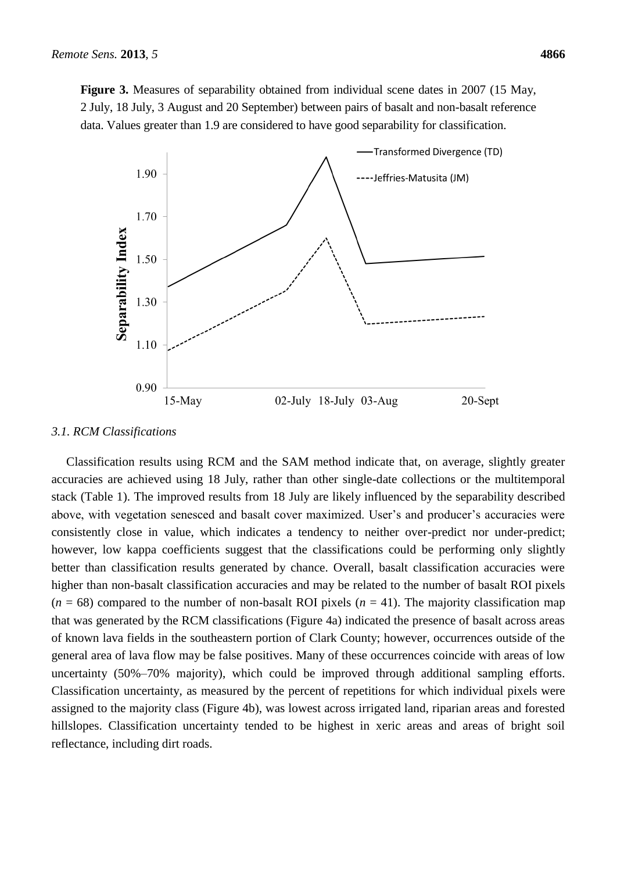**Figure 3.** Measures of separability obtained from individual scene dates in 2007 (15 May, 2 July, 18 July, 3 August and 20 September) between pairs of basalt and non-basalt reference data. Values greater than 1.9 are considered to have good separability for classification.



#### *3.1. RCM Classifications*

Classification results using RCM and the SAM method indicate that, on average, slightly greater accuracies are achieved using 18 July, rather than other single-date collections or the multitemporal stack (Table 1). The improved results from 18 July are likely influenced by the separability described above, with vegetation senesced and basalt cover maximized. User's and producer's accuracies were consistently close in value, which indicates a tendency to neither over-predict nor under-predict; however, low kappa coefficients suggest that the classifications could be performing only slightly better than classification results generated by chance. Overall, basalt classification accuracies were higher than non-basalt classification accuracies and may be related to the number of basalt ROI pixels  $(n = 68)$  compared to the number of non-basalt ROI pixels  $(n = 41)$ . The majority classification map that was generated by the RCM classifications (Figure 4a) indicated the presence of basalt across areas of known lava fields in the southeastern portion of Clark County; however, occurrences outside of the general area of lava flow may be false positives. Many of these occurrences coincide with areas of low uncertainty (50%–70% majority), which could be improved through additional sampling efforts. Classification uncertainty, as measured by the percent of repetitions for which individual pixels were assigned to the majority class (Figure 4b), was lowest across irrigated land, riparian areas and forested hillslopes. Classification uncertainty tended to be highest in xeric areas and areas of bright soil reflectance, including dirt roads.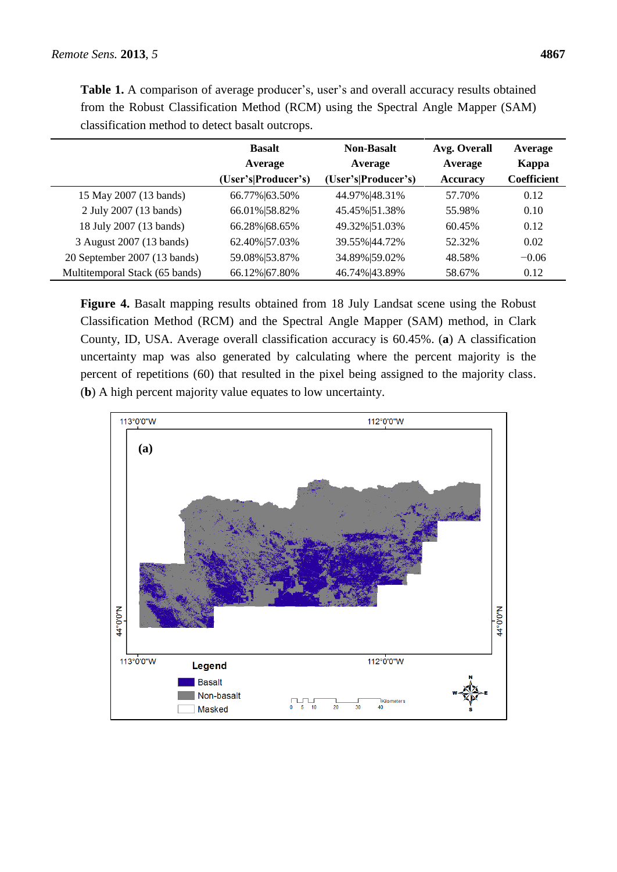|                                | <b>Basalt</b>       | <b>Non-Basalt</b>   | Avg. Overall    | Average     |  |
|--------------------------------|---------------------|---------------------|-----------------|-------------|--|
|                                | Average             | Average             | Average         | Kappa       |  |
|                                | (User's Producer's) | (User's Producer's) | <b>Accuracy</b> | Coefficient |  |
| 15 May 2007 (13 bands)         | 66.77% 63.50%       | 44.97% 48.31%       | 57.70%          | 0.12        |  |
| 2 July 2007 (13 bands)         | 66.01% 58.82%       | 45.45% 51.38%       | 55.98%          | 0.10        |  |
| 18 July 2007 (13 bands)        | 66.28% 68.65%       | 49.32% 51.03%       | 60.45%          | 0.12        |  |
| 3 August 2007 (13 bands)       | 62.40% 57.03%       | 39.55% 44.72%       | 52.32%          | 0.02        |  |
| 20 September 2007 (13 bands)   | 59.08% 53.87%       | 34.89% 59.02%       | 48.58%          | $-0.06$     |  |
| Multitemporal Stack (65 bands) | 66.12% 67.80%       | 46.74% 43.89%       | 58.67%          | 0.12        |  |

Table 1. A comparison of average producer's, user's and overall accuracy results obtained from the Robust Classification Method (RCM) using the Spectral Angle Mapper (SAM) classification method to detect basalt outcrops.

**Figure 4.** Basalt mapping results obtained from 18 July Landsat scene using the Robust Classification Method (RCM) and the Spectral Angle Mapper (SAM) method, in Clark County, ID, USA. Average overall classification accuracy is 60.45%. (**a**) A classification uncertainty map was also generated by calculating where the percent majority is the percent of repetitions (60) that resulted in the pixel being assigned to the majority class. (**b**) A high percent majority value equates to low uncertainty.

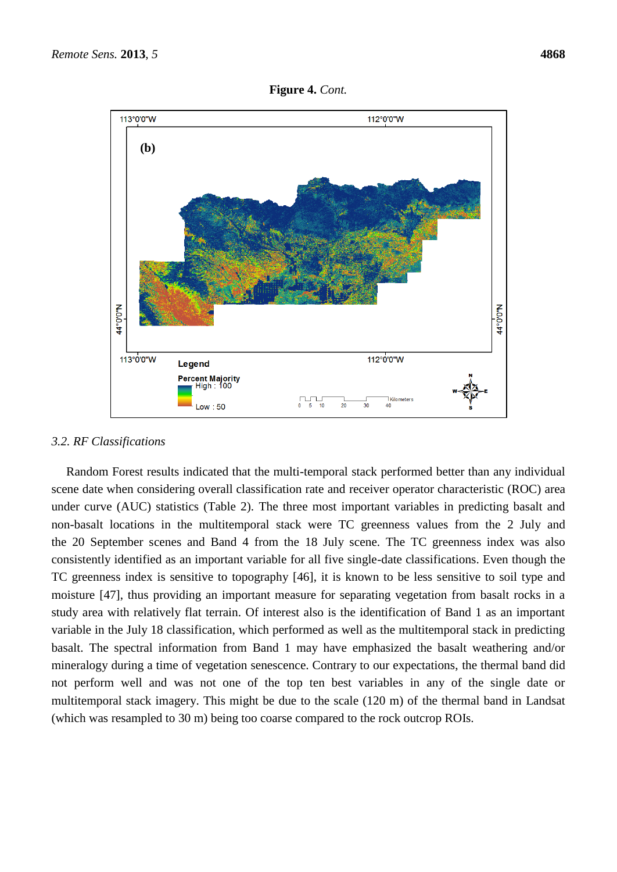**Figure 4.** *Cont.*



#### *3.2. RF Classifications*

Random Forest results indicated that the multi-temporal stack performed better than any individual scene date when considering overall classification rate and receiver operator characteristic (ROC) area under curve (AUC) statistics (Table 2). The three most important variables in predicting basalt and non-basalt locations in the multitemporal stack were TC greenness values from the 2 July and the 20 September scenes and Band 4 from the 18 July scene. The TC greenness index was also consistently identified as an important variable for all five single-date classifications. Even though the TC greenness index is sensitive to topography [46], it is known to be less sensitive to soil type and moisture [47], thus providing an important measure for separating vegetation from basalt rocks in a study area with relatively flat terrain. Of interest also is the identification of Band 1 as an important variable in the July 18 classification, which performed as well as the multitemporal stack in predicting basalt. The spectral information from Band 1 may have emphasized the basalt weathering and/or mineralogy during a time of vegetation senescence. Contrary to our expectations, the thermal band did not perform well and was not one of the top ten best variables in any of the single date or multitemporal stack imagery. This might be due to the scale (120 m) of the thermal band in Landsat (which was resampled to 30 m) being too coarse compared to the rock outcrop ROIs.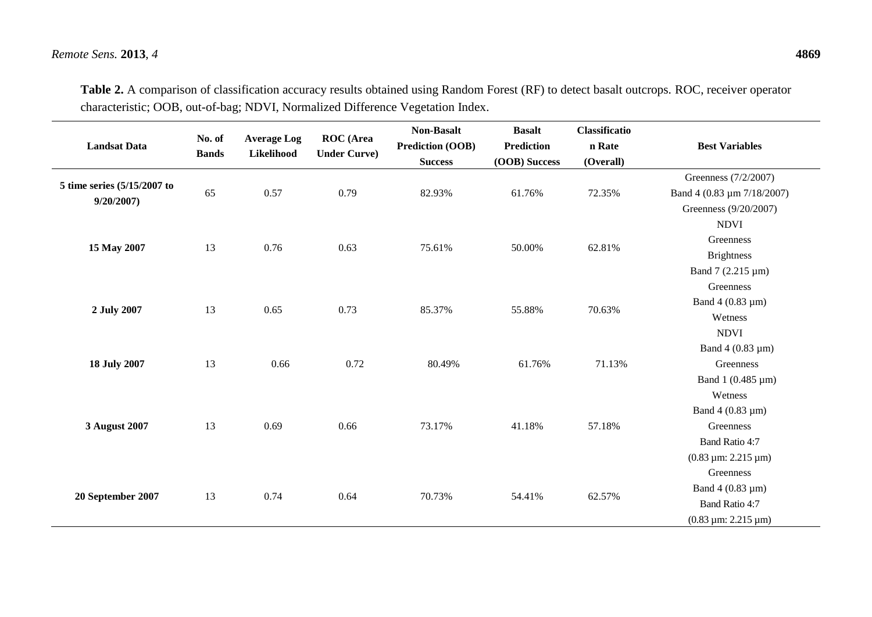| <b>Landsat Data</b>                      | No. of<br><b>Bands</b> | <b>Average Log</b><br>Likelihood | <b>ROC</b> (Area<br><b>Under Curve</b> ) | <b>Non-Basalt</b><br><b>Prediction (OOB)</b><br><b>Success</b> | <b>Basalt</b><br>Prediction<br>(OOB) Success | <b>Classificatio</b><br>n Rate<br>(Overall) | <b>Best Variables</b>                 |
|------------------------------------------|------------------------|----------------------------------|------------------------------------------|----------------------------------------------------------------|----------------------------------------------|---------------------------------------------|---------------------------------------|
| 5 time series (5/15/2007 to<br>9/20/2007 |                        | 0.57                             | 0.79                                     | 82.93%                                                         | 61.76%                                       | 72.35%                                      | Greenness (7/2/2007)                  |
|                                          | 65                     |                                  |                                          |                                                                |                                              |                                             | Band 4 (0.83 µm 7/18/2007)            |
|                                          |                        |                                  |                                          |                                                                |                                              |                                             | Greenness (9/20/2007)                 |
| 15 May 2007                              |                        | 0.76                             | 0.63                                     | 75.61%                                                         | 50.00%                                       | 62.81%                                      | <b>NDVI</b>                           |
|                                          | 13                     |                                  |                                          |                                                                |                                              |                                             | Greenness                             |
|                                          |                        |                                  |                                          |                                                                |                                              |                                             | <b>Brightness</b>                     |
|                                          |                        |                                  |                                          |                                                                |                                              |                                             | Band 7 (2.215 µm)                     |
| 13<br>2 July 2007                        |                        | 0.65                             | 0.73                                     | 85.37%                                                         | 55.88%                                       | 70.63%                                      | Greenness                             |
|                                          |                        |                                  |                                          |                                                                |                                              |                                             | Band $4(0.83 \text{ µm})$             |
|                                          |                        |                                  |                                          |                                                                |                                              |                                             | Wetness                               |
|                                          |                        |                                  |                                          |                                                                |                                              |                                             | <b>NDVI</b>                           |
| <b>18 July 2007</b>                      |                        | 0.66                             | 0.72                                     | 80.49%                                                         | 61.76%                                       | 71.13%                                      | Band 4 $(0.83 \mu m)$                 |
|                                          | 13                     |                                  |                                          |                                                                |                                              |                                             | Greenness                             |
|                                          |                        |                                  |                                          |                                                                |                                              |                                             | Band 1 (0.485 µm)                     |
| 3 August 2007                            |                        | 0.69                             | 0.66                                     | 73.17%                                                         | 41.18%                                       | 57.18%                                      | Wetness                               |
|                                          |                        |                                  |                                          |                                                                |                                              |                                             | Band 4 (0.83 µm)                      |
|                                          | 13                     |                                  |                                          |                                                                |                                              |                                             | Greenness                             |
|                                          |                        |                                  |                                          |                                                                |                                              |                                             | Band Ratio 4:7                        |
|                                          |                        |                                  |                                          |                                                                |                                              |                                             | $(0.83 \mu m: 2.215 \mu m)$           |
| 20 September 2007                        | 13                     | 0.74                             | 0.64                                     | 70.73%                                                         | 54.41%                                       | 62.57%                                      | Greenness                             |
|                                          |                        |                                  |                                          |                                                                |                                              |                                             | Band 4 (0.83 µm)                      |
|                                          |                        |                                  |                                          |                                                                |                                              |                                             | Band Ratio 4:7                        |
|                                          |                        |                                  |                                          |                                                                |                                              |                                             | $(0.83 \text{ µm}: 2.215 \text{ µm})$ |

**Table 2.** A comparison of classification accuracy results obtained using Random Forest (RF) to detect basalt outcrops. ROC, receiver operator characteristic; OOB, out-of-bag; NDVI, Normalized Difference Vegetation Index.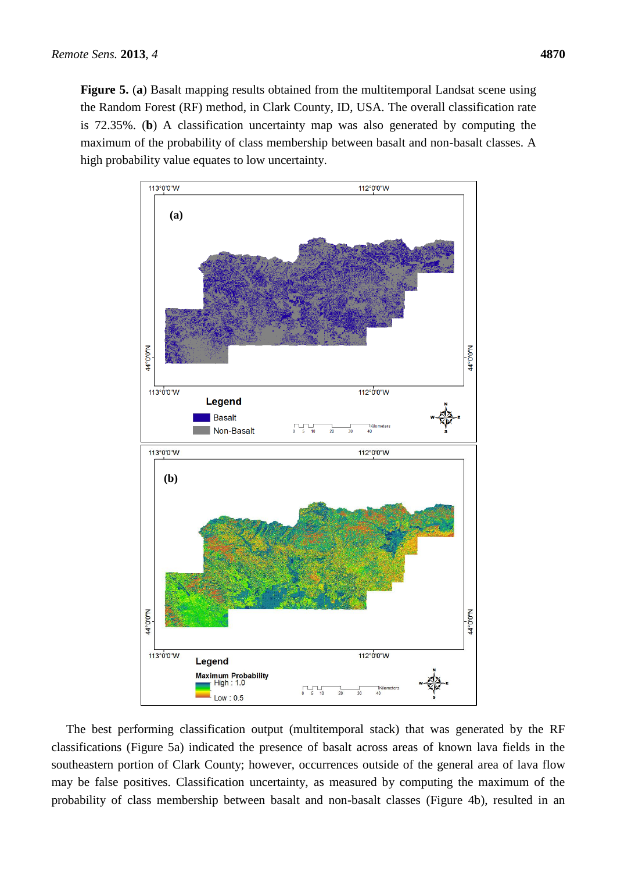**Figure 5.** (**a**) Basalt mapping results obtained from the multitemporal Landsat scene using the Random Forest (RF) method, in Clark County, ID, USA. The overall classification rate is 72.35%. (**b**) A classification uncertainty map was also generated by computing the maximum of the probability of class membership between basalt and non-basalt classes. A high probability value equates to low uncertainty.



The best performing classification output (multitemporal stack) that was generated by the RF classifications (Figure 5a) indicated the presence of basalt across areas of known lava fields in the southeastern portion of Clark County; however, occurrences outside of the general area of lava flow may be false positives. Classification uncertainty, as measured by computing the maximum of the probability of class membership between basalt and non-basalt classes (Figure 4b), resulted in an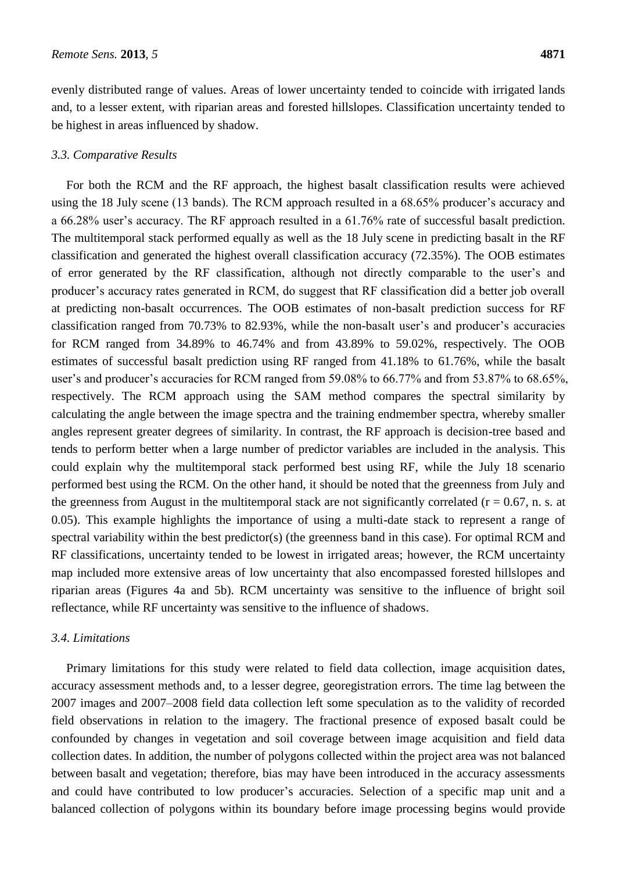evenly distributed range of values. Areas of lower uncertainty tended to coincide with irrigated lands and, to a lesser extent, with riparian areas and forested hillslopes. Classification uncertainty tended to be highest in areas influenced by shadow.

#### *3.3. Comparative Results*

For both the RCM and the RF approach, the highest basalt classification results were achieved using the 18 July scene (13 bands). The RCM approach resulted in a 68.65% producer's accuracy and a 66.28% user's accuracy. The RF approach resulted in a 61.76% rate of successful basalt prediction. The multitemporal stack performed equally as well as the 18 July scene in predicting basalt in the RF classification and generated the highest overall classification accuracy (72.35%). The OOB estimates of error generated by the RF classification, although not directly comparable to the user's and producer's accuracy rates generated in RCM, do suggest that RF classification did a better job overall at predicting non-basalt occurrences. The OOB estimates of non-basalt prediction success for RF classification ranged from 70.73% to 82.93%, while the non-basalt user's and producer's accuracies for RCM ranged from 34.89% to 46.74% and from 43.89% to 59.02%, respectively. The OOB estimates of successful basalt prediction using RF ranged from 41.18% to 61.76%, while the basalt user's and producer's accuracies for RCM ranged from 59.08% to 66.77% and from 53.87% to 68.65%, respectively. The RCM approach using the SAM method compares the spectral similarity by calculating the angle between the image spectra and the training endmember spectra, whereby smaller angles represent greater degrees of similarity. In contrast, the RF approach is decision-tree based and tends to perform better when a large number of predictor variables are included in the analysis. This could explain why the multitemporal stack performed best using RF, while the July 18 scenario performed best using the RCM. On the other hand, it should be noted that the greenness from July and the greenness from August in the multitemporal stack are not significantly correlated ( $r = 0.67$ , n. s. at 0.05). This example highlights the importance of using a multi-date stack to represent a range of spectral variability within the best predictor(s) (the greenness band in this case). For optimal RCM and RF classifications, uncertainty tended to be lowest in irrigated areas; however, the RCM uncertainty map included more extensive areas of low uncertainty that also encompassed forested hillslopes and riparian areas (Figures 4a and 5b). RCM uncertainty was sensitive to the influence of bright soil reflectance, while RF uncertainty was sensitive to the influence of shadows.

#### *3.4. Limitations*

Primary limitations for this study were related to field data collection, image acquisition dates, accuracy assessment methods and, to a lesser degree, georegistration errors. The time lag between the 2007 images and 2007–2008 field data collection left some speculation as to the validity of recorded field observations in relation to the imagery. The fractional presence of exposed basalt could be confounded by changes in vegetation and soil coverage between image acquisition and field data collection dates. In addition, the number of polygons collected within the project area was not balanced between basalt and vegetation; therefore, bias may have been introduced in the accuracy assessments and could have contributed to low producer's accuracies. Selection of a specific map unit and a balanced collection of polygons within its boundary before image processing begins would provide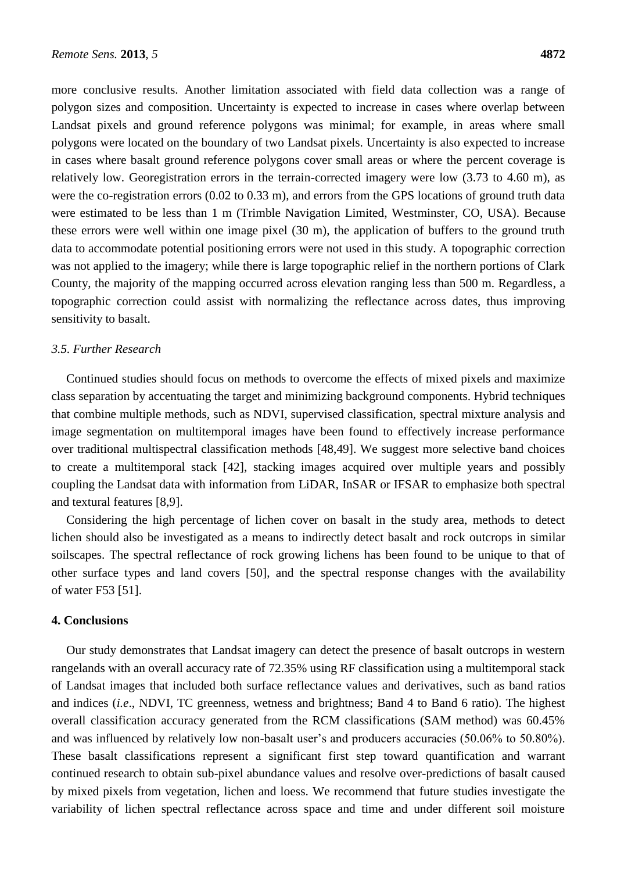more conclusive results. Another limitation associated with field data collection was a range of polygon sizes and composition. Uncertainty is expected to increase in cases where overlap between Landsat pixels and ground reference polygons was minimal; for example, in areas where small polygons were located on the boundary of two Landsat pixels. Uncertainty is also expected to increase in cases where basalt ground reference polygons cover small areas or where the percent coverage is relatively low. Georegistration errors in the terrain-corrected imagery were low (3.73 to 4.60 m), as were the co-registration errors (0.02 to 0.33 m), and errors from the GPS locations of ground truth data were estimated to be less than 1 m (Trimble Navigation Limited, Westminster, CO, USA). Because these errors were well within one image pixel (30 m), the application of buffers to the ground truth data to accommodate potential positioning errors were not used in this study. A topographic correction was not applied to the imagery; while there is large topographic relief in the northern portions of Clark County, the majority of the mapping occurred across elevation ranging less than 500 m. Regardless, a topographic correction could assist with normalizing the reflectance across dates, thus improving sensitivity to basalt.

#### *3.5. Further Research*

Continued studies should focus on methods to overcome the effects of mixed pixels and maximize class separation by accentuating the target and minimizing background components. Hybrid techniques that combine multiple methods, such as NDVI, supervised classification, spectral mixture analysis and image segmentation on multitemporal images have been found to effectively increase performance over traditional multispectral classification methods [48,49]. We suggest more selective band choices to create a multitemporal stack [42], stacking images acquired over multiple years and possibly coupling the Landsat data with information from LiDAR, InSAR or IFSAR to emphasize both spectral and textural features [8,9].

Considering the high percentage of lichen cover on basalt in the study area, methods to detect lichen should also be investigated as a means to indirectly detect basalt and rock outcrops in similar soilscapes. The spectral reflectance of rock growing lichens has been found to be unique to that of other surface types and land covers [50], and the spectral response changes with the availability of water F53 [51].

#### **4. Conclusions**

Our study demonstrates that Landsat imagery can detect the presence of basalt outcrops in western rangelands with an overall accuracy rate of 72.35% using RF classification using a multitemporal stack of Landsat images that included both surface reflectance values and derivatives, such as band ratios and indices (*i.e*., NDVI, TC greenness, wetness and brightness; Band 4 to Band 6 ratio). The highest overall classification accuracy generated from the RCM classifications (SAM method) was 60.45% and was influenced by relatively low non-basalt user's and producers accuracies (50.06% to 50.80%). These basalt classifications represent a significant first step toward quantification and warrant continued research to obtain sub-pixel abundance values and resolve over-predictions of basalt caused by mixed pixels from vegetation, lichen and loess. We recommend that future studies investigate the variability of lichen spectral reflectance across space and time and under different soil moisture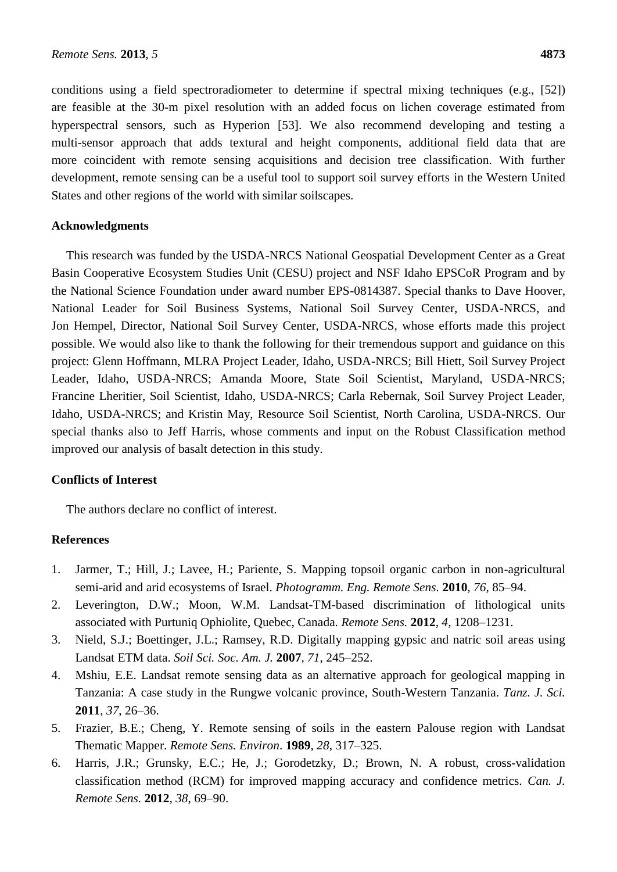conditions using a field spectroradiometer to determine if spectral mixing techniques (e.g., [52]) are feasible at the 30-m pixel resolution with an added focus on lichen coverage estimated from hyperspectral sensors, such as Hyperion [53]. We also recommend developing and testing a multi-sensor approach that adds textural and height components, additional field data that are more coincident with remote sensing acquisitions and decision tree classification. With further development, remote sensing can be a useful tool to support soil survey efforts in the Western United States and other regions of the world with similar soilscapes.

#### **Acknowledgments**

This research was funded by the USDA-NRCS National Geospatial Development Center as a Great Basin Cooperative Ecosystem Studies Unit (CESU) project and NSF Idaho EPSCoR Program and by the National Science Foundation under award number EPS-0814387. Special thanks to Dave Hoover, National Leader for Soil Business Systems, National Soil Survey Center, USDA-NRCS, and Jon Hempel, Director, National Soil Survey Center, USDA-NRCS, whose efforts made this project possible. We would also like to thank the following for their tremendous support and guidance on this project: Glenn Hoffmann, MLRA Project Leader, Idaho, USDA-NRCS; Bill Hiett, Soil Survey Project Leader, Idaho, USDA-NRCS; Amanda Moore, State Soil Scientist, Maryland, USDA-NRCS; Francine Lheritier, Soil Scientist, Idaho, USDA-NRCS; Carla Rebernak, Soil Survey Project Leader, Idaho, USDA-NRCS; and Kristin May, Resource Soil Scientist, North Carolina, USDA-NRCS. Our special thanks also to Jeff Harris, whose comments and input on the Robust Classification method improved our analysis of basalt detection in this study.

#### **Conflicts of Interest**

The authors declare no conflict of interest.

#### **References**

- 1. Jarmer, T.; Hill, J.; Lavee, H.; Pariente, S. Mapping topsoil organic carbon in non-agricultural semi-arid and arid ecosystems of Israel. *Photogramm. Eng. Remote Sens.* **2010**, *76*, 85–94.
- 2. Leverington, D.W.; Moon, W.M. Landsat-TM-based discrimination of lithological units associated with Purtuniq Ophiolite, Quebec, Canada. *Remote Sens.* **2012**, *4*, 1208–1231.
- 3. Nield, S.J.; Boettinger, J.L.; Ramsey, R.D. Digitally mapping gypsic and natric soil areas using Landsat ETM data. *Soil Sci. Soc. Am. J.* **2007**, *71*, 245–252.
- 4. Mshiu, E.E. Landsat remote sensing data as an alternative approach for geological mapping in Tanzania: A case study in the Rungwe volcanic province, South-Western Tanzania. *Tanz. J. Sci.* **2011**, *37*, 26–36.
- 5. Frazier, B.E.; Cheng, Y. Remote sensing of soils in the eastern Palouse region with Landsat Thematic Mapper. *Remote Sens. Environ*. **1989**, *28*, 317–325.
- 6. Harris, J.R.; Grunsky, E.C.; He, J.; Gorodetzky, D.; Brown, N. A robust, cross-validation classification method (RCM) for improved mapping accuracy and confidence metrics. *Can. J. Remote Sens.* **2012**, *38*, 69–90.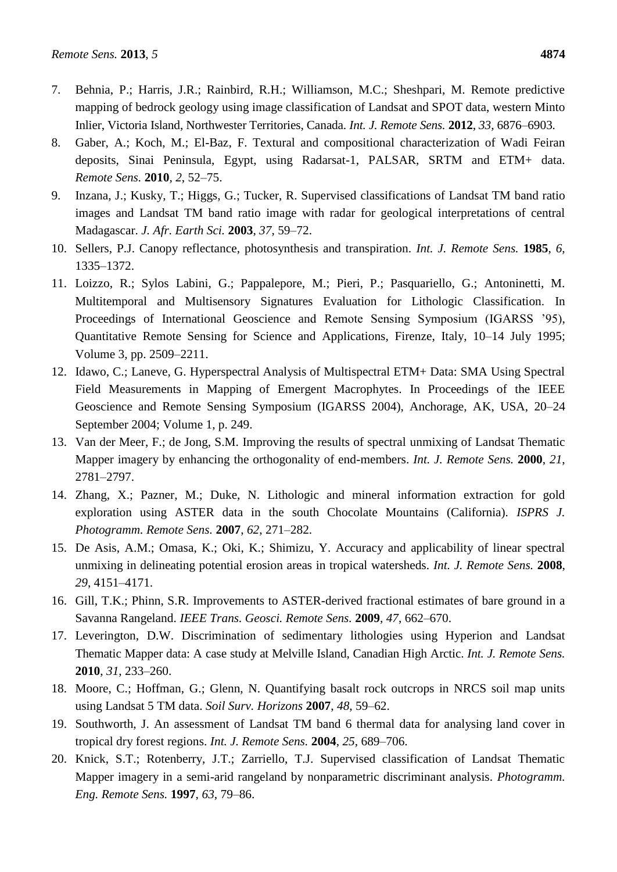- 7. Behnia, P.; Harris, J.R.; Rainbird, R.H.; Williamson, M.C.; Sheshpari, M. Remote predictive mapping of bedrock geology using image classification of Landsat and SPOT data, western Minto Inlier, Victoria Island, Northwester Territories, Canada. *Int. J. Remote Sens.* **2012**, *33*, 6876–6903*.*
- 8. Gaber, A.; Koch, M.; El-Baz, F. Textural and compositional characterization of Wadi Feiran deposits, Sinai Peninsula, Egypt, using Radarsat-1, PALSAR, SRTM and ETM+ data. *Remote Sens.* **2010**, *2*, 52–75.
- 9. Inzana, J.; Kusky, T.; Higgs, G.; Tucker, R. Supervised classifications of Landsat TM band ratio images and Landsat TM band ratio image with radar for geological interpretations of central Madagascar. *J. Afr. Earth Sci.* **2003**, *37*, 59–72.
- 10. Sellers, P.J. Canopy reflectance, photosynthesis and transpiration. *Int. J. Remote Sens.* **1985**, *6*, 1335–1372.
- 11. Loizzo, R.; Sylos Labini, G.; Pappalepore, M.; Pieri, P.; Pasquariello, G.; Antoninetti, M. Multitemporal and Multisensory Signatures Evaluation for Lithologic Classification. In Proceedings of International Geoscience and Remote Sensing Symposium (IGARSS '95), Quantitative Remote Sensing for Science and Applications, Firenze, Italy, 10–14 July 1995; Volume 3, pp. 2509–2211.
- 12. Idawo, C.; Laneve, G. Hyperspectral Analysis of Multispectral ETM+ Data: SMA Using Spectral Field Measurements in Mapping of Emergent Macrophytes. In Proceedings of the IEEE Geoscience and Remote Sensing Symposium (IGARSS 2004), Anchorage, AK, USA, 20–24 September 2004; Volume 1, p. 249.
- 13. Van der Meer, F.; de Jong, S.M. Improving the results of spectral unmixing of Landsat Thematic Mapper imagery by enhancing the orthogonality of end-members. *Int. J. Remote Sens.* **2000**, *21*, 2781–2797.
- 14. Zhang, X.; Pazner, M.; Duke, N. Lithologic and mineral information extraction for gold exploration using ASTER data in the south Chocolate Mountains (California). *ISPRS J. Photogramm. Remote Sens.* **2007**, *62*, 271–282.
- 15. De Asis, A.M.; Omasa, K.; Oki, K.; Shimizu, Y. Accuracy and applicability of linear spectral unmixing in delineating potential erosion areas in tropical watersheds. *Int. J. Remote Sens.* **2008**, *29*, 4151–4171.
- 16. Gill, T.K.; Phinn, S.R. Improvements to ASTER-derived fractional estimates of bare ground in a Savanna Rangeland. *IEEE Trans. Geosci. Remote Sens.* **2009**, *47*, 662–670.
- 17. Leverington, D.W. Discrimination of sedimentary lithologies using Hyperion and Landsat Thematic Mapper data: A case study at Melville Island, Canadian High Arctic. *Int. J. Remote Sens.* **2010**, *31*, 233–260.
- 18. Moore, C.; Hoffman, G.; Glenn, N. Quantifying basalt rock outcrops in NRCS soil map units using Landsat 5 TM data. *Soil Surv. Horizons* **2007**, *48*, 59–62.
- 19. Southworth, J. An assessment of Landsat TM band 6 thermal data for analysing land cover in tropical dry forest regions. *Int. J. Remote Sens.* **2004**, *25*, 689–706.
- 20. Knick, S.T.; Rotenberry, J.T.; Zarriello, T.J. Supervised classification of Landsat Thematic Mapper imagery in a semi-arid rangeland by nonparametric discriminant analysis. *Photogramm. Eng. Remote Sens.* **1997**, *63*, 79–86.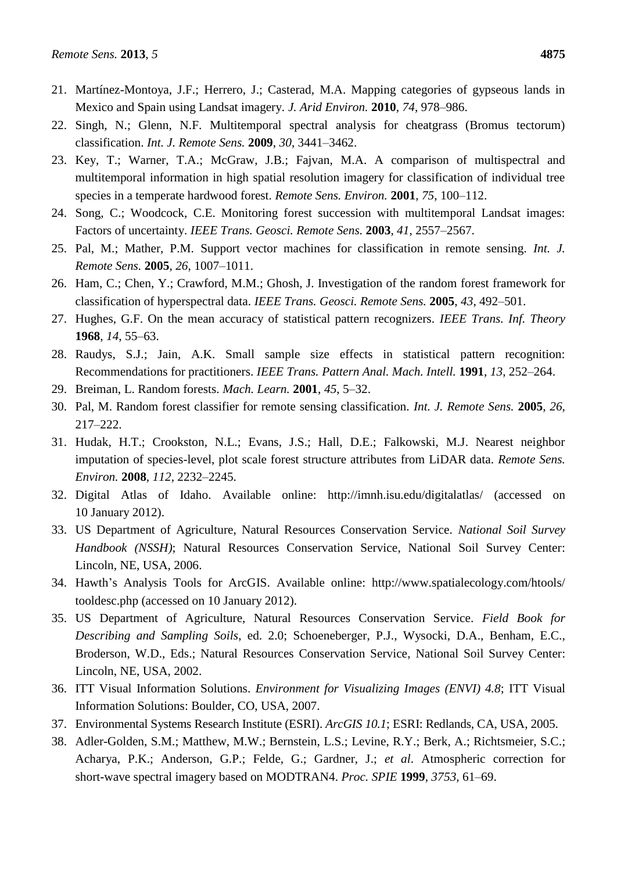- 21. Mart nez-Montoya, J.F.; Herrero, J.; Casterad, M.A. Mapping categories of gypseous lands in Mexico and Spain using Landsat imagery. *J. Arid Environ.* **2010**, *74*, 978–986.
- 22. Singh, N.; Glenn, N.F. Multitemporal spectral analysis for cheatgrass (Bromus tectorum) classification. *Int. J. Remote Sens.* **2009**, *30*, 3441–3462.
- 23. Key, T.; Warner, T.A.; McGraw, J.B.; Fajvan, M.A. A comparison of multispectral and multitemporal information in high spatial resolution imagery for classification of individual tree species in a temperate hardwood forest. *Remote Sens. Environ.* **2001**, *75*, 100–112.
- 24. Song, C.; Woodcock, C.E. Monitoring forest succession with multitemporal Landsat images: Factors of uncertainty. *IEEE Trans. Geosci. Remote Sens.* **2003**, *41*, 2557–2567.
- 25. Pal, M.; Mather, P.M. Support vector machines for classification in remote sensing. *Int. J. Remote Sens.* **2005**, *26*, 1007–1011.
- 26. Ham, C.; Chen, Y.; Crawford, M.M.; Ghosh, J. Investigation of the random forest framework for classification of hyperspectral data. *IEEE Trans. Geosci. Remote Sens.* **2005**, *43*, 492–501.
- 27. Hughes, G.F. On the mean accuracy of statistical pattern recognizers. *IEEE Trans. Inf. Theory* **1968**, *14*, 55–63.
- 28. Raudys, S.J.; Jain, A.K. Small sample size effects in statistical pattern recognition: Recommendations for practitioners. *IEEE Trans. Pattern Anal. Mach. Intell.* **1991**, *13*, 252–264.
- 29. Breiman, L. Random forests. *Mach. Learn.* **2001**, *45*, 5–32.
- 30. Pal, M. Random forest classifier for remote sensing classification. *Int. J. Remote Sens.* **2005**, *26*, 217–222.
- 31. Hudak, H.T.; Crookston, N.L.; Evans, J.S.; Hall, D.E.; Falkowski, M.J. Nearest neighbor imputation of species-level, plot scale forest structure attributes from LiDAR data. *Remote Sens. Environ.* **2008**, *112*, 2232–2245.
- 32. Digital Atlas of Idaho. Available online: http://imnh.isu.edu/digitalatlas/ (accessed on 10 January 2012).
- 33. US Department of Agriculture, Natural Resources Conservation Service. *National Soil Survey Handbook (NSSH)*; Natural Resources Conservation Service, National Soil Survey Center: Lincoln, NE, USA, 2006.
- 34. Hawth's Analysis Tools for ArcGIS. Available online: http://www.spatialecology.com/htools/ tooldesc.php (accessed on 10 January 2012).
- 35. US Department of Agriculture, Natural Resources Conservation Service. *Field Book for Describing and Sampling Soils*, ed. 2.0; Schoeneberger, P.J., Wysocki, D.A., Benham, E.C., Broderson, W.D., Eds.; Natural Resources Conservation Service, National Soil Survey Center: Lincoln, NE, USA, 2002.
- 36. ITT Visual Information Solutions. *Environment for Visualizing Images (ENVI) 4.8*; ITT Visual Information Solutions: Boulder, CO, USA, 2007.
- 37. Environmental Systems Research Institute (ESRI). *ArcGIS 10.1*; ESRI: Redlands, CA, USA, 2005.
- 38. Adler-Golden, S.M.; Matthew, M.W.; Bernstein, L.S.; Levine, R.Y.; Berk, A.; Richtsmeier, S.C.; Acharya, P.K.; Anderson, G.P.; Felde, G.; Gardner, J.; *et al*. Atmospheric correction for short-wave spectral imagery based on MODTRAN4. *Proc. SPIE* **1999**, *3753*, 61–69.